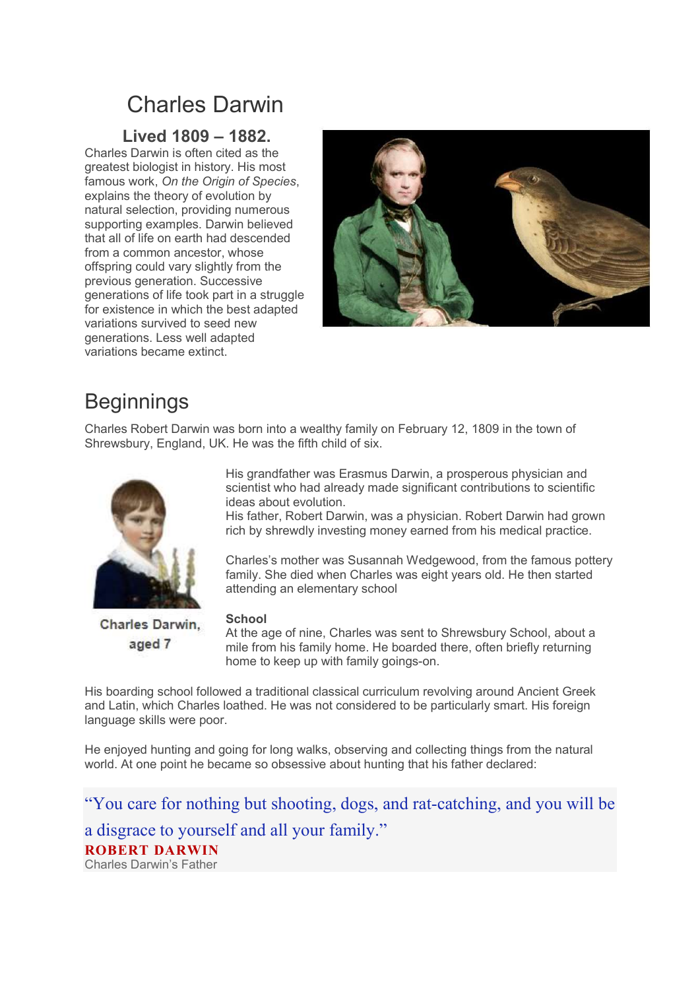## Charles Darwin

### Lived 1809 – 1882.

Charles Darwin is often cited as the greatest biologist in history. His most famous work, On the Origin of Species, explains the theory of evolution by natural selection, providing numerous supporting examples. Darwin believed that all of life on earth had descended from a common ancestor, whose offspring could vary slightly from the previous generation. Successive generations of life took part in a struggle for existence in which the best adapted variations survived to seed new generations. Less well adapted variations became extinct.



## **Beginnings**

Charles Robert Darwin was born into a wealthy family on February 12, 1809 in the town of Shrewsbury, England, UK. He was the fifth child of six.



Charles Darwin. aged 7

His grandfather was Erasmus Darwin, a prosperous physician and scientist who had already made significant contributions to scientific ideas about evolution.

His father, Robert Darwin, was a physician. Robert Darwin had grown rich by shrewdly investing money earned from his medical practice.

Charles's mother was Susannah Wedgewood, from the famous pottery family. She died when Charles was eight years old. He then started attending an elementary school

### **School**

At the age of nine, Charles was sent to Shrewsbury School, about a mile from his family home. He boarded there, often briefly returning home to keep up with family goings-on.

His boarding school followed a traditional classical curriculum revolving around Ancient Greek and Latin, which Charles loathed. He was not considered to be particularly smart. His foreign language skills were poor.

He enjoyed hunting and going for long walks, observing and collecting things from the natural world. At one point he became so obsessive about hunting that his father declared:

"You care for nothing but shooting, dogs, and rat-catching, and you will be a disgrace to yourself and all your family." ROBERT DARWIN Charles Darwin's Father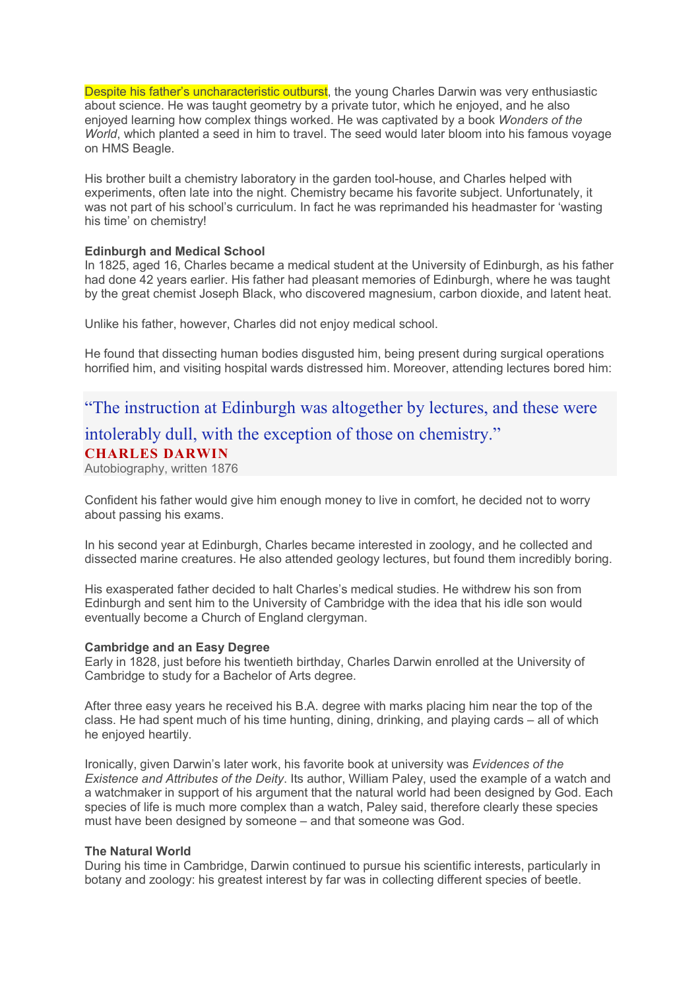Despite his father's uncharacteristic outburst, the young Charles Darwin was very enthusiastic about science. He was taught geometry by a private tutor, which he enjoyed, and he also enjoyed learning how complex things worked. He was captivated by a book Wonders of the World, which planted a seed in him to travel. The seed would later bloom into his famous voyage on HMS Beagle.

His brother built a chemistry laboratory in the garden tool-house, and Charles helped with experiments, often late into the night. Chemistry became his favorite subject. Unfortunately, it was not part of his school's curriculum. In fact he was reprimanded his headmaster for 'wasting his time' on chemistry!

#### Edinburgh and Medical School

In 1825, aged 16, Charles became a medical student at the University of Edinburgh, as his father had done 42 years earlier. His father had pleasant memories of Edinburgh, where he was taught by the great chemist Joseph Black, who discovered magnesium, carbon dioxide, and latent heat.

Unlike his father, however, Charles did not enjoy medical school.

He found that dissecting human bodies disgusted him, being present during surgical operations horrified him, and visiting hospital wards distressed him. Moreover, attending lectures bored him:

### "The instruction at Edinburgh was altogether by lectures, and these were intolerably dull, with the exception of those on chemistry." CHARLES DARWIN

Autobiography, written 1876

Confident his father would give him enough money to live in comfort, he decided not to worry about passing his exams.

In his second year at Edinburgh, Charles became interested in zoology, and he collected and dissected marine creatures. He also attended geology lectures, but found them incredibly boring.

His exasperated father decided to halt Charles's medical studies. He withdrew his son from Edinburgh and sent him to the University of Cambridge with the idea that his idle son would eventually become a Church of England clergyman.

#### Cambridge and an Easy Degree

Early in 1828, just before his twentieth birthday, Charles Darwin enrolled at the University of Cambridge to study for a Bachelor of Arts degree.

After three easy years he received his B.A. degree with marks placing him near the top of the class. He had spent much of his time hunting, dining, drinking, and playing cards – all of which he enjoyed heartily.

Ironically, given Darwin's later work, his favorite book at university was Evidences of the Existence and Attributes of the Deity. Its author, William Paley, used the example of a watch and a watchmaker in support of his argument that the natural world had been designed by God. Each species of life is much more complex than a watch, Paley said, therefore clearly these species must have been designed by someone – and that someone was God.

#### The Natural World

During his time in Cambridge, Darwin continued to pursue his scientific interests, particularly in botany and zoology: his greatest interest by far was in collecting different species of beetle.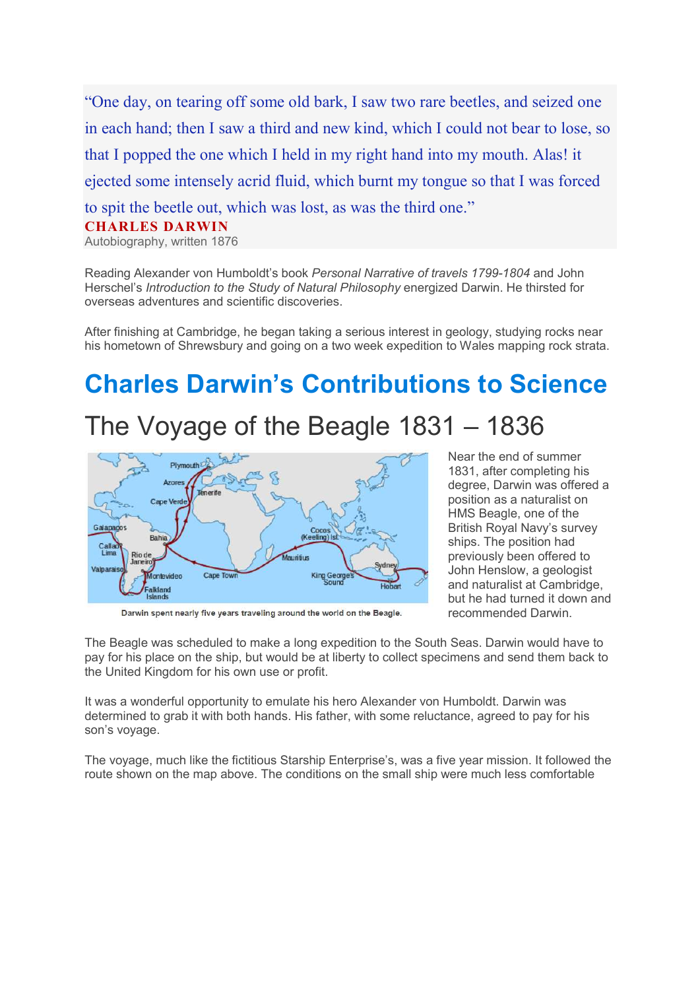"One day, on tearing off some old bark, I saw two rare beetles, and seized one in each hand; then I saw a third and new kind, which I could not bear to lose, so that I popped the one which I held in my right hand into my mouth. Alas! it ejected some intensely acrid fluid, which burnt my tongue so that I was forced to spit the beetle out, which was lost, as was the third one." CHARLES DARWIN Autobiography, written 1876

Reading Alexander von Humboldt's book Personal Narrative of travels 1799-1804 and John Herschel's Introduction to the Study of Natural Philosophy energized Darwin. He thirsted for overseas adventures and scientific discoveries.

After finishing at Cambridge, he began taking a serious interest in geology, studying rocks near his hometown of Shrewsbury and going on a two week expedition to Wales mapping rock strata.

# Charles Darwin's Contributions to Science

## The Voyage of the Beagle 1831 – 1836



Darwin spent nearly five years traveling around the world on the Beagle.

Near the end of summer 1831, after completing his degree, Darwin was offered a position as a naturalist on HMS Beagle, one of the British Royal Navy's survey ships. The position had previously been offered to John Henslow, a geologist and naturalist at Cambridge, but he had turned it down and recommended Darwin.

The Beagle was scheduled to make a long expedition to the South Seas. Darwin would have to pay for his place on the ship, but would be at liberty to collect specimens and send them back to the United Kingdom for his own use or profit.

It was a wonderful opportunity to emulate his hero Alexander von Humboldt. Darwin was determined to grab it with both hands. His father, with some reluctance, agreed to pay for his son's voyage.

The voyage, much like the fictitious Starship Enterprise's, was a five year mission. It followed the route shown on the map above. The conditions on the small ship were much less comfortable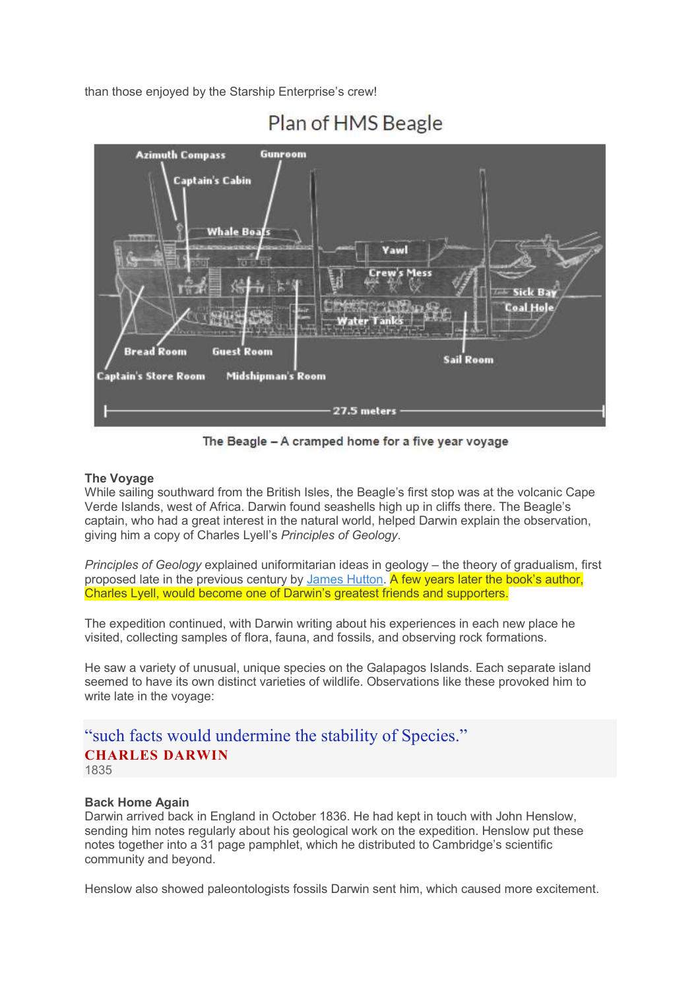than those enjoyed by the Starship Enterprise's crew!



### Plan of HMS Beagle

The Beagle - A cramped home for a five year voyage

### The Voyage

While sailing southward from the British Isles, the Beagle's first stop was at the volcanic Cape Verde Islands, west of Africa. Darwin found seashells high up in cliffs there. The Beagle's captain, who had a great interest in the natural world, helped Darwin explain the observation, giving him a copy of Charles Lyell's Principles of Geology.

Principles of Geology explained uniformitarian ideas in geology – the theory of gradualism, first proposed late in the previous century by James Hutton. A few years later the book's author, Charles Lyell, would become one of Darwin's greatest friends and supporters.

The expedition continued, with Darwin writing about his experiences in each new place he visited, collecting samples of flora, fauna, and fossils, and observing rock formations.

He saw a variety of unusual, unique species on the Galapagos Islands. Each separate island seemed to have its own distinct varieties of wildlife. Observations like these provoked him to write late in the voyage:

### "such facts would undermine the stability of Species." CHARLES DARWIN 1835

### Back Home Again

Darwin arrived back in England in October 1836. He had kept in touch with John Henslow, sending him notes regularly about his geological work on the expedition. Henslow put these notes together into a 31 page pamphlet, which he distributed to Cambridge's scientific community and beyond.

Henslow also showed paleontologists fossils Darwin sent him, which caused more excitement.